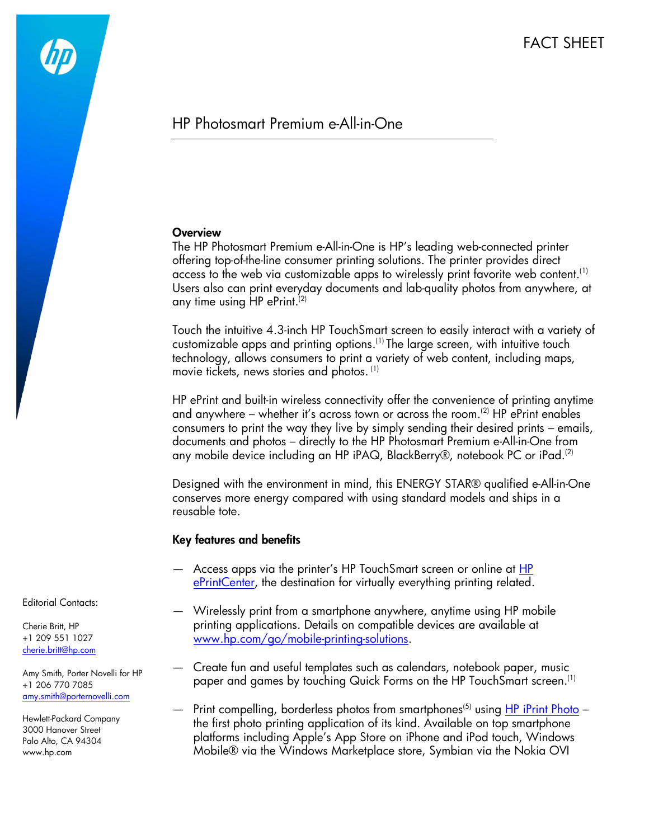# HP Photosmart Premium e-All-in-One

#### **Overview**

The HP Photosmart Premium e-All-in-One is HP's leading web-connected printer offering top-of-the-line consumer printing solutions. The printer provides direct access to the web via customizable apps to wirelessly print favorite web content.<sup>(1)</sup> Users also can print everyday documents and lab-quality photos from anywhere, at any time using HP ePrint. $^{\left( 2\right) }$ 

Touch the intuitive 4.3-inch HP TouchSmart screen to easily interact with a variety of customizable apps and printing options. (1) The large screen, with intuitive touch technology, allows consumers to print a variety of web content, including maps, movie tickets, news stories and photos. <sup>(1)</sup>

HP ePrint and built-in wireless connectivity offer the convenience of printing anytime and anywhere – whether it's across town or across the room.<sup>(2)</sup> HP ePrint enables consumers to print the way they live by simply sending their desired prints – emails, documents and photos – directly to the HP Photosmart Premium e-All-in-One from any mobile device including an HP iPAQ, BlackBerry®, notebook PC or iPad.<sup>(2)</sup>

Designed with the environment in mind, this ENERGY STAR® qualified e-All-in-One conserves more energy compared with using standard models and ships in a reusable tote.

### Key features and benefits

- $-$  Access apps via the printer's [HP](http://h30495.www3.hp.com/) TouchSmart screen or online at  $HP$ [ePrintCenter,](http://h30495.www3.hp.com/) the destination for virtually everything printing related.
- Wirelessly print from a smartphone anywhere, anytime using HP mobile printing applications. Details on compatible devices are available at [www.hp.com/go/mobile-printing-solutions.](http://www.hp.com/go/mobile-printing-solutions)
- Create fun and useful templates such as calendars, notebook paper, music paper and games by touching Quick Forms on the HP TouchSmart screen.<sup>(1)</sup>
- Print compelling, borderless photos from smartphones<sup>(5)</sup> using <u>[HP iPrint Photo](http://www.hp.com/go/mobile-printing-solutions)</u> the first photo printing application of its kind. Available on top smartphone platforms including Apple's App Store on iPhone and iPod touch, Windows Mobile® via the Windows Marketplace store, Symbian via the Nokia OVI

Editorial Contacts:

Cherie Britt, HP +1 209 551 1027 [cherie.britt@hp.com](mailto:cherie.britt@hp.com)

Amy Smith, Porter Novelli for HP +1 206 770 7085 [amy.smith@porternovelli.com](mailto:amy.smith@porternovelli.com)

Hewlett-Packard Company 3000 Hanover Street Palo Alto, CA 94304 www.hp.com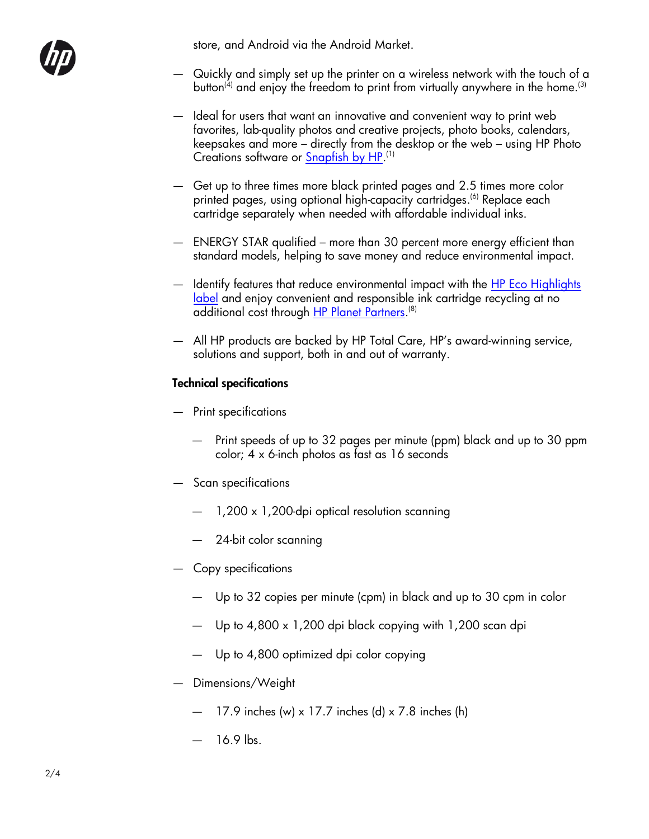store, and Android via the Android Market.



- Quickly and simply set up the printer on a wireless network with the touch of a button<sup>(4)</sup> and enjoy the freedom to print from virtually anywhere in the home.<sup>(3)</sup>
- Ideal for users that want an innovative and convenient way to print web favorites, lab-quality photos and creative projects, photo books, calendars, keepsakes and more – directly from the desktop or the web – using HP Photo Creations software or <u>Snapfish by HP</u>.<sup>(1)</sup>
- Get up to three times more black printed pages and 2.5 times more color printed pages, using optional high-capacity cartridges.<sup>(6)</sup> Replace each cartridge separately when needed with affordable individual inks.
- ENERGY STAR qualified more than 30 percent more energy efficient than standard models, helping to save money and reduce environmental impact.
- Identify features that reduce environmental impact with the [HP Eco Highlights](http://www.hp.com/hpinfo/globalcitizenship/environment/productdesign/ecohighlights-label.html)  [label](http://www.hp.com/hpinfo/globalcitizenship/environment/productdesign/ecohighlights-label.html) and enjoy convenient and responsible ink cartridge recycling at no additional cost through <u>HP Planet Partners</u>.<sup>(8)</sup>
- All HP products are backed by HP Total Care, HP's award-winning service, solutions and support, both in and out of warranty.

## Technical specifications

- Print specifications
	- Print speeds of up to 32 pages per minute (ppm) black and up to 30 ppm color; 4 x 6-inch photos as fast as 16 seconds
- Scan specifications
	- 1,200 x 1,200-dpi optical resolution scanning
	- 24-bit color scanning
- Copy specifications
	- Up to 32 copies per minute (cpm) in black and up to 30 cpm in color
	- $-$  Up to 4,800 x 1,200 dpi black copying with 1,200 scan dpi
	- Up to 4,800 optimized dpi color copying
- Dimensions/Weight
	- 17.9 inches (w)  $\times$  17.7 inches (d)  $\times$  7.8 inches (h)
	- 16.9 lbs.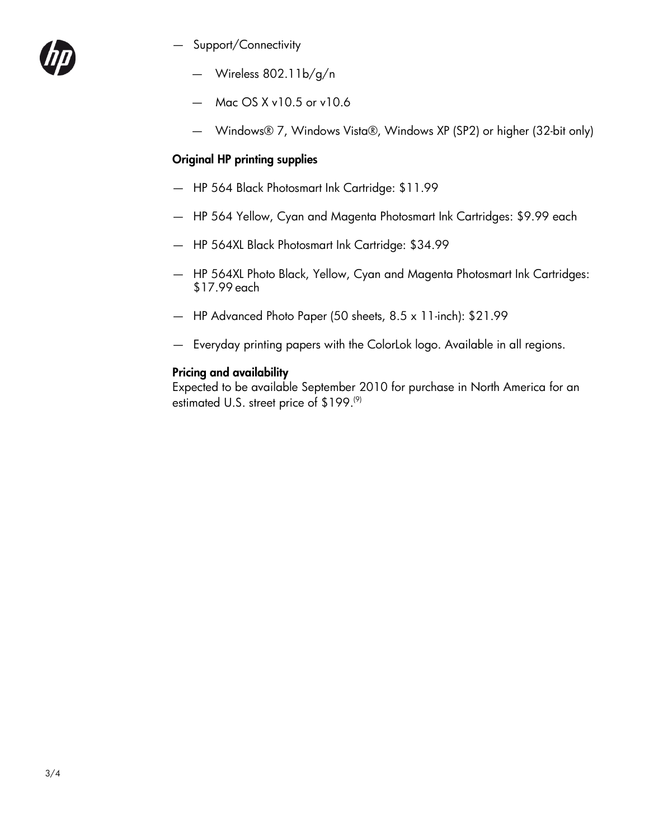

- Support/Connectivity
	- Wireless 802.11b/g/n
	- Mac OS X v10.5 or v10.6
	- Windows® 7, Windows Vista®, Windows XP (SP2) or higher (32-bit only)

### Original HP printing supplies

- HP 564 Black Photosmart Ink Cartridge: \$11.99
- HP 564 Yellow, Cyan and Magenta Photosmart Ink Cartridges: \$9.99 each
- HP 564XL Black Photosmart Ink Cartridge: \$34.99
- HP 564XL Photo Black, Yellow, Cyan and Magenta Photosmart Ink Cartridges: \$17.99 each
- [HP Advanced Photo Paper \(50 sheets, 8.5 x 11-inch\):](javascript:formStoProductSubmit() \$21.99
- Everyday printing papers with the ColorLok logo. Available in all regions.

### Pricing and availability

Expected to be available September 2010 for purchase in North America for an estimated U.S. street price of \$199.<sup>(9)</sup>